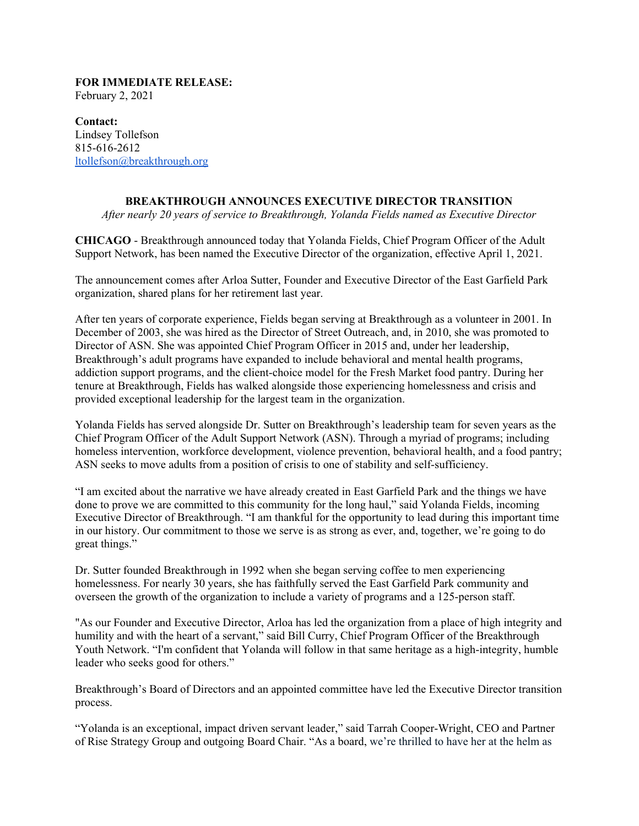## **FOR IMMEDIATE RELEASE:** February 2, 2021

**Contact:** Lindsey Tollefson 815-616-2612 [ltollefson@breakthrough.org](mailto:ltollefson@breakthrough.org)

## **BREAKTHROUGH ANNOUNCES EXECUTIVE DIRECTOR TRANSITION**

*After nearly 20 years of service to Breakthrough, Yolanda Fields named as Executive Director*

**CHICAGO** - Breakthrough announced today that Yolanda Fields, Chief Program Officer of the Adult Support Network, has been named the Executive Director of the organization, effective April 1, 2021.

The announcement comes after Arloa Sutter, Founder and Executive Director of the East Garfield Park organization, shared plans for her retirement last year.

After ten years of corporate experience, Fields began serving at Breakthrough as a volunteer in 2001. In December of 2003, she was hired as the Director of Street Outreach, and, in 2010, she was promoted to Director of ASN. She was appointed Chief Program Officer in 2015 and, under her leadership, Breakthrough's adult programs have expanded to include behavioral and mental health programs, addiction support programs, and the client-choice model for the Fresh Market food pantry. During her tenure at Breakthrough, Fields has walked alongside those experiencing homelessness and crisis and provided exceptional leadership for the largest team in the organization.

Yolanda Fields has served alongside Dr. Sutter on Breakthrough's leadership team for seven years as the Chief Program Officer of the Adult Support Network (ASN). Through a myriad of programs; including homeless intervention, workforce development, violence prevention, behavioral health, and a food pantry; ASN seeks to move adults from a position of crisis to one of stability and self-sufficiency.

"I am excited about the narrative we have already created in East Garfield Park and the things we have done to prove we are committed to this community for the long haul," said Yolanda Fields, incoming Executive Director of Breakthrough. "I am thankful for the opportunity to lead during this important time in our history. Our commitment to those we serve is as strong as ever, and, together, we're going to do great things."

Dr. Sutter founded Breakthrough in 1992 when she began serving coffee to men experiencing homelessness. For nearly 30 years, she has faithfully served the East Garfield Park community and overseen the growth of the organization to include a variety of programs and a 125-person staff.

"As our Founder and Executive Director, Arloa has led the organization from a place of high integrity and humility and with the heart of a servant," said Bill Curry, Chief Program Officer of the Breakthrough Youth Network. "I'm confident that Yolanda will follow in that same heritage as a high-integrity, humble leader who seeks good for others."

Breakthrough's Board of Directors and an appointed committee have led the Executive Director transition process.

"Yolanda is an exceptional, impact driven servant leader," said Tarrah Cooper-Wright, CEO and Partner of Rise Strategy Group and outgoing Board Chair. "As a board, we're thrilled to have her at the helm as